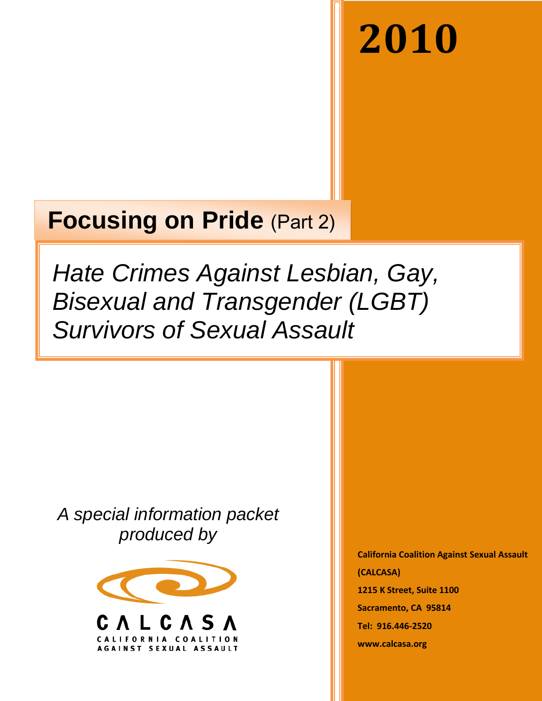# **2010**

# **Focusing on Pride** (Part 2)

*Hate Crimes Against Lesbian, Gay, Bisexual and Transgender (LGBT) Survivors of Sexual Assault*

*A special information packet produced by*



**California Coalition Against Sexual Assault (CALCASA) 1215 K Street, Suite 1100 Sacramento, CA 95814 Tel: 916.446-2520 www.calcasa.org**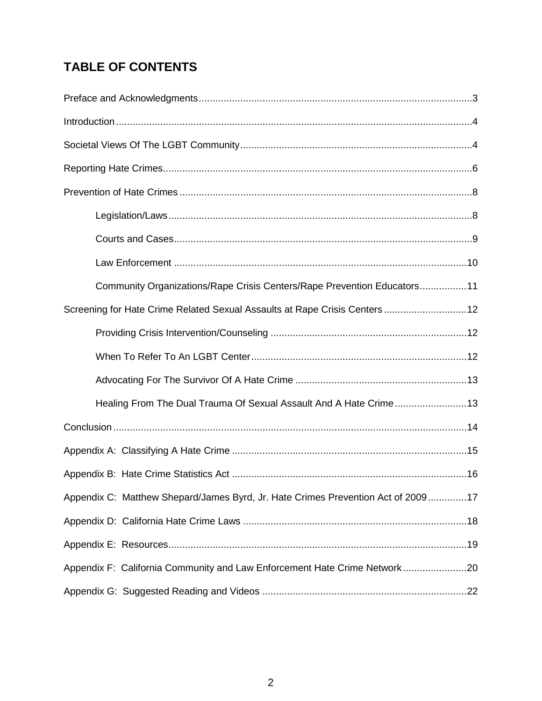# **TABLE OF CONTENTS**

| Community Organizations/Rape Crisis Centers/Rape Prevention Educators11          |
|----------------------------------------------------------------------------------|
| Screening for Hate Crime Related Sexual Assaults at Rape Crisis Centers 12       |
|                                                                                  |
|                                                                                  |
|                                                                                  |
| Healing From The Dual Trauma Of Sexual Assault And A Hate Crime13                |
|                                                                                  |
|                                                                                  |
|                                                                                  |
| Appendix C: Matthew Shepard/James Byrd, Jr. Hate Crimes Prevention Act of 200917 |
|                                                                                  |
|                                                                                  |
| Appendix F: California Community and Law Enforcement Hate Crime Network20        |
|                                                                                  |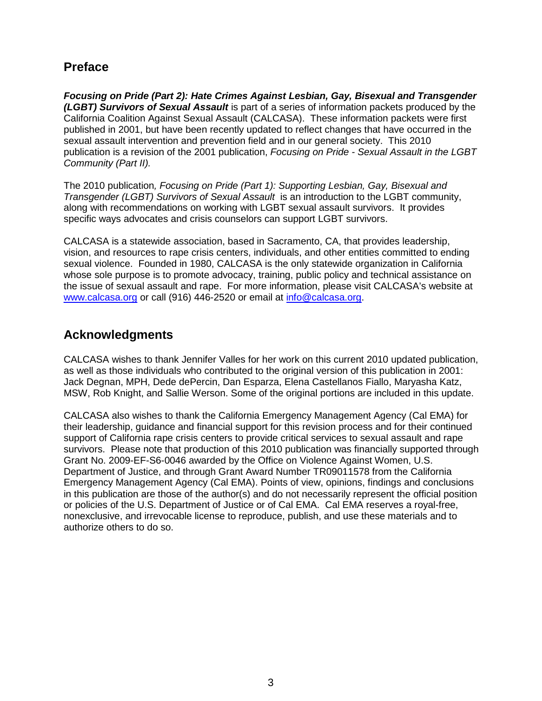# **Preface**

*Focusing on Pride (Part 2): Hate Crimes Against Lesbian, Gay, Bisexual and Transgender (LGBT) Survivors of Sexual Assault* is part of a series of information packets produced by the California Coalition Against Sexual Assault (CALCASA). These information packets were first published in 2001, but have been recently updated to reflect changes that have occurred in the sexual assault intervention and prevention field and in our general society. This 2010 publication is a revision of the 2001 publication, *Focusing on Pride - Sexual Assault in the LGBT Community (Part II).*

The 2010 publication*, Focusing on Pride (Part 1): Supporting Lesbian, Gay, Bisexual and Transgender (LGBT) Survivors of Sexual Assault* is an introduction to the LGBT community, along with recommendations on working with LGBT sexual assault survivors. It provides specific ways advocates and crisis counselors can support LGBT survivors.

CALCASA is a statewide association, based in Sacramento, CA, that provides leadership, vision, and resources to rape crisis centers, individuals, and other entities committed to ending sexual violence. Founded in 1980, CALCASA is the only statewide organization in California whose sole purpose is to promote advocacy, training, public policy and technical assistance on the issue of sexual assault and rape. For more information, please visit CALCASA's website at [www.calcasa.org](http://www.calcasa.org/) or call (916) 446-2520 or email at [info@calcasa.org.](mailto:info@calcasa.org)

# **Acknowledgments**

CALCASA wishes to thank Jennifer Valles for her work on this current 2010 updated publication, as well as those individuals who contributed to the original version of this publication in 2001: Jack Degnan, MPH, Dede dePercin, Dan Esparza, Elena Castellanos Fiallo, Maryasha Katz, MSW, Rob Knight, and Sallie Werson. Some of the original portions are included in this update.

CALCASA also wishes to thank the California Emergency Management Agency (Cal EMA) for their leadership, guidance and financial support for this revision process and for their continued support of California rape crisis centers to provide critical services to sexual assault and rape survivors. Please note that production of this 2010 publication was financially supported through Grant No. 2009-EF-S6-0046 awarded by the Office on Violence Against Women, U.S. Department of Justice, and through Grant Award Number TR09011578 from the California Emergency Management Agency (Cal EMA). Points of view, opinions, findings and conclusions in this publication are those of the author(s) and do not necessarily represent the official position or policies of the U.S. Department of Justice or of Cal EMA. Cal EMA reserves a royal-free, nonexclusive, and irrevocable license to reproduce, publish, and use these materials and to authorize others to do so.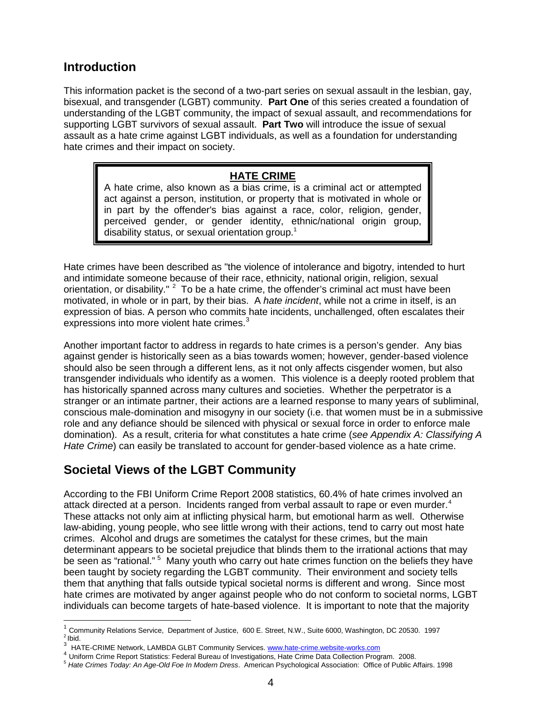# **Introduction**

This information packet is the second of a two-part series on sexual assault in the lesbian, gay, bisexual, and transgender (LGBT) community. **Part One** of this series created a foundation of understanding of the LGBT community, the impact of sexual assault, and recommendations for supporting LGBT survivors of sexual assault. **Part Two** will introduce the issue of sexual assault as a hate crime against LGBT individuals, as well as a foundation for understanding hate crimes and their impact on society.

#### **HATE CRIME**

disability status, or sexual orientati[on](#page-3-0) group.<sup>1</sup> A hate crime, also known as a bias crime, is a criminal act or attempted act against a person, institution, or property that is motivated in whole or in part by the offender's bias against a race, color, religion, gender, perceived gender, or gender identity, ethnic/national origin group,

Hate crimes have been described as "the violence of intolerance and bigotry, intended to hurt and intimidate someone because of their race, ethnicity, national origin, religion, sexual orientation, or disability." <sup>[2](#page-3-1)</sup> To be a hate crime, the offender's criminal act must have been motivated, in whole or in part, by their bias. A *hate incident*, while not a crime in itself, is an expression of bias. A person who commits hate incidents, unchallenged, often escalates their expressions into more violent hate crimes.<sup>[3](#page-3-2)</sup>

Another important factor to address in regards to hate crimes is a person's gender. Any bias against gender is historically seen as a bias towards women; however, gender-based violence should also be seen through a different lens, as it not only affects cisgender women, but also transgender individuals who identify as a women. This violence is a deeply rooted problem that has historically spanned across many cultures and societies. Whether the perpetrator is a stranger or an intimate partner, their actions are a learned response to many years of subliminal, conscious male-domination and misogyny in our society (i.e. that women must be in a submissive role and any defiance should be silenced with physical or sexual force in order to enforce male domination). As a result, criteria for what constitutes a hate crime (*see Appendix A: Classifying A Hate Crime*) can easily be translated to account for gender-based violence as a hate crime.

# **Societal Views of the LGBT Community**

According to the FBI Uniform Crime Report 2008 statistics, 60.4% of hate crimes involved an attack directed at a person. Incidents ranged from verbal assault to rape or even murder.<sup>[4](#page-3-3)</sup> These attacks not only aim at inflicting physical harm, but emotional harm as well. Otherwise law-abiding, young people, who see little wrong with their actions, tend to carry out most hate crimes. Alcohol and drugs are sometimes the catalyst for these crimes, but the main determinant appears to be societal prejudice that blinds them to the irrational actions that may be seen as "rational." <sup>[5](#page-3-4)</sup> Many youth who carry out hate crimes function on the beliefs they have been taught by society regarding the LGBT community. Their environment and society tells them that anything that falls outside typical societal norms is different and wrong. Since most hate crimes are motivated by anger against people who do not conform to societal norms, LGBT individuals can become targets of hate-based violence. It is important to note that the majority

<span id="page-3-0"></span><sup>|&</sup>lt;br>1 <sup>1</sup> [Community Relations Service,](http://www.usdoj.gov/crs/crs.htm) Department of Justice, 600 E. Street, N.W., Suite 6000, Washington, DC 20530. 1997<br><sup>2</sup> Ibid.<br><sup>3</sup> HATE-CRIME Network, LAMBDA GLBT Community Services. www.hate-crime.website-works.com  $<sup>2</sup>$  Ibid.</sup>

<span id="page-3-1"></span>

<span id="page-3-4"></span><span id="page-3-3"></span><span id="page-3-2"></span><sup>&</sup>lt;sup>4</sup> Uniform Crime Report Statistics: Federal Bureau of Investigations, Hate Crime Data Collection Program. 2008.<br><sup>5</sup> Hate Crimes Today: An Age-Old Foe In Modern Dress. American Psychological Association: Office of Public A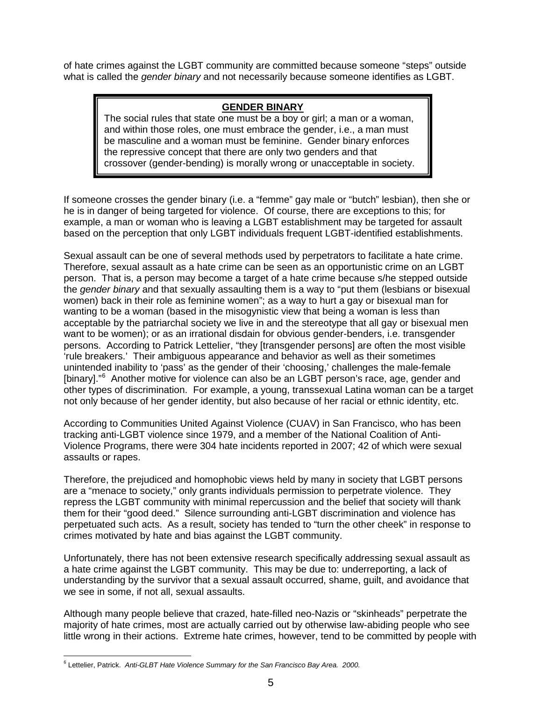of hate crimes against the LGBT community are committed because someone "steps" outside what is called the *gender binary* and not necessarily because someone identifies as LGBT.

#### **GENDER BINARY**

The social rules that state one must be a boy or girl; a man or a woman, and within those roles, one must embrace the gender, i.e., a man must be masculine and a woman must be feminine. Gender binary enforces the repressive concept that there are only two genders and that crossover (gender-bending) is morally wrong or unacceptable in society.

If someone crosses the gender binary (i.e. a "femme" gay male or "butch" lesbian), then she or he is in danger of being targeted for violence. Of course, there are exceptions to this; for example, a man or woman who is leaving a LGBT establishment may be targeted for assault based on the perception that only LGBT individuals frequent LGBT-identified establishments.

Sexual assault can be one of several methods used by perpetrators to facilitate a hate crime. Therefore, sexual assault as a hate crime can be seen as an opportunistic crime on an LGBT person. That is, a person may become a target of a hate crime because s/he stepped outside the *gender binary* and that sexually assaulting them is a way to "put them (lesbians or bisexual women) back in their role as feminine women"; as a way to hurt a gay or bisexual man for wanting to be a woman (based in the misogynistic view that being a woman is less than acceptable by the patriarchal society we live in and the stereotype that all gay or bisexual men want to be women); or as an irrational disdain for obvious gender-benders, i.e. transgender persons. According to Patrick Lettelier, "they [transgender persons] are often the most visible 'rule breakers.' Their ambiguous appearance and behavior as well as their sometimes unintended inability to 'pass' as the gender of their 'choosing,' challenges the male-female [binary]."<sup>[6](#page-4-0)</sup> Another motive for violence can also be an LGBT person's race, age, gender and other types of discrimination. For example, a young, transsexual Latina woman can be a target not only because of her gender identity, but also because of her racial or ethnic identity, etc.

According to Communities United Against Violence (CUAV) in San Francisco, who has been tracking anti-LGBT violence since 1979, and a member of the National Coalition of Anti-Violence Programs, there were 304 hate incidents reported in 2007; 42 of which were sexual assaults or rapes.

Therefore, the prejudiced and homophobic views held by many in society that LGBT persons are a "menace to society," only grants individuals permission to perpetrate violence. They repress the LGBT community with minimal repercussion and the belief that society will thank them for their "good deed." Silence surrounding anti-LGBT discrimination and violence has perpetuated such acts. As a result, society has tended to "turn the other cheek" in response to crimes motivated by hate and bias against the LGBT community.

Unfortunately, there has not been extensive research specifically addressing sexual assault as a hate crime against the LGBT community. This may be due to: underreporting, a lack of understanding by the survivor that a sexual assault occurred, shame, guilt, and avoidance that we see in some, if not all, sexual assaults.

Although many people believe that crazed, hate-filled neo-Nazis or "skinheads" perpetrate the majority of hate crimes, most are actually carried out by otherwise law-abiding people who see little wrong in their actions. Extreme hate crimes, however, tend to be committed by people with

<span id="page-4-0"></span> <sup>6</sup> Lettelier, Patrick. *Anti-GLBT Hate Violence Summary for the San Francisco Bay Area. 2000.*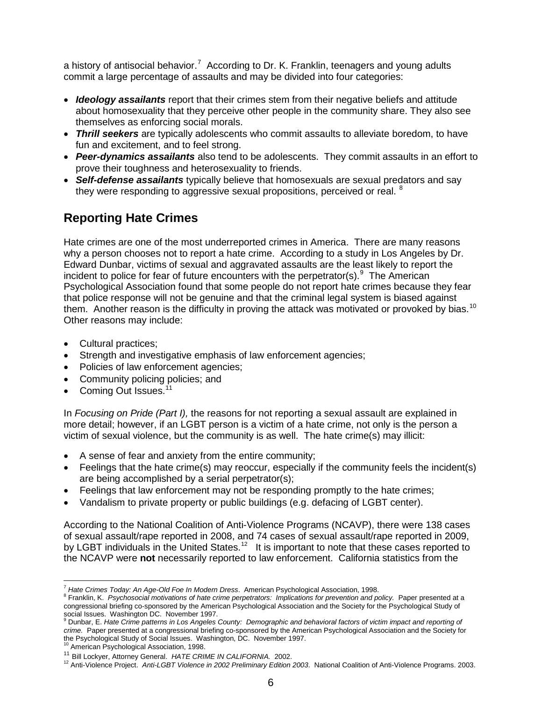a history of antisocial behavior.<sup>[7](#page-5-0)</sup> According to Dr. K. Franklin, teenagers and young adults commit a large percentage of assaults and may be divided into four categories:

- *Ideology assailants* report that their crimes stem from their negative beliefs and attitude about homosexuality that they perceive other people in the community share. They also see themselves as enforcing social morals.
- *Thrill seekers* are typically adolescents who commit assaults to alleviate boredom, to have fun and excitement, and to feel strong.
- *Peer-dynamics assailants* also tend to be adolescents. They commit assaults in an effort to prove their toughness and heterosexuality to friends.
- *Self-defense assailants* typically believe that homosexuals are sexual predators and say they were responding to aggressive sexual propositions, perceived or real. <sup>[8](#page-5-1)</sup>

# **Reporting Hate Crimes**

Hate crimes are one of the most underreported crimes in America. There are many reasons why a person chooses not to report a hate crime. According to a study in Los Angeles by Dr. Edward Dunbar, victims of sexual and aggravated assaults are the least likely to report the incident to police for fear of future encounters with the perpetrator(s).  $9$  The American Psychological Association found that some people do not report hate crimes because they fear that police response will not be genuine and that the criminal legal system is biased against them. Another reason is the difficulty in proving the attack was motivated or provoked by bias.<sup>[10](#page-5-3)</sup> Other reasons may include:

- Cultural practices;
- Strength and investigative emphasis of law enforcement agencies;
- Policies of law enforcement agencies;
- Community policing policies; and
- Coming Out Issues.<sup>[11](#page-5-4)</sup>

In *Focusing on Pride (Part I),* the reasons for not reporting a sexual assault are explained in more detail; however, if an LGBT person is a victim of a hate crime, not only is the person a victim of sexual violence, but the community is as well. The hate crime(s) may illicit:

- A sense of fear and anxiety from the entire community;
- Feelings that the hate crime(s) may reoccur, especially if the community feels the incident(s) are being accomplished by a serial perpetrator(s);
- Feelings that law enforcement may not be responding promptly to the hate crimes;
- Vandalism to private property or public buildings (e.g. defacing of LGBT center).

According to the National Coalition of Anti-Violence Programs (NCAVP), there were 138 cases of sexual assault/rape reported in 2008, and 74 cases of sexual assault/rape reported in 2009, by LGBT individuals in the United States.<sup>[12](#page-5-5)</sup> It is important to note that these cases reported to the NCAVP were **not** necessarily reported to law enforcement. California statistics from the

 <sup>7</sup> *Hate Crimes Today: An Age-Old Foe In Modern Dress*. American Psychological Association, 1998.

<span id="page-5-1"></span><span id="page-5-0"></span><sup>8</sup> Franklin, K. Psychosocial motivations of hate crime perpetrators: Implications for prevention and policy. Paper presented at a congressional briefing co-sponsored by the American Psychological Association and the Society for the Psychological Study of social Issues. Washington DC. November 1997.<br><sup>9</sup> Dunbar, E. *Hate Crime patterns in Los Angeles County: Demographic and behavioral factors of victim impact and reporting of* 

<span id="page-5-2"></span>*crime.* Paper presented at a congressional briefing co-sponsored by the American Psychological Association and the Society for the Psychological Study of Social Issues. Washington, DC. November 1997.

<span id="page-5-3"></span><sup>&</sup>lt;sup>10</sup> American Psychological Association, 1998.<br><sup>11</sup> Bill Lockyer, Attorney General. *HATE CRIME IN CALIFORNIA.* 2002.

<span id="page-5-5"></span><span id="page-5-4"></span><sup>&</sup>lt;sup>12</sup> Anti-Violence Project. Anti-LGBT Violence in 2002 Preliminary Edition 2003. National Coalition of Anti-Violence Programs. 2003.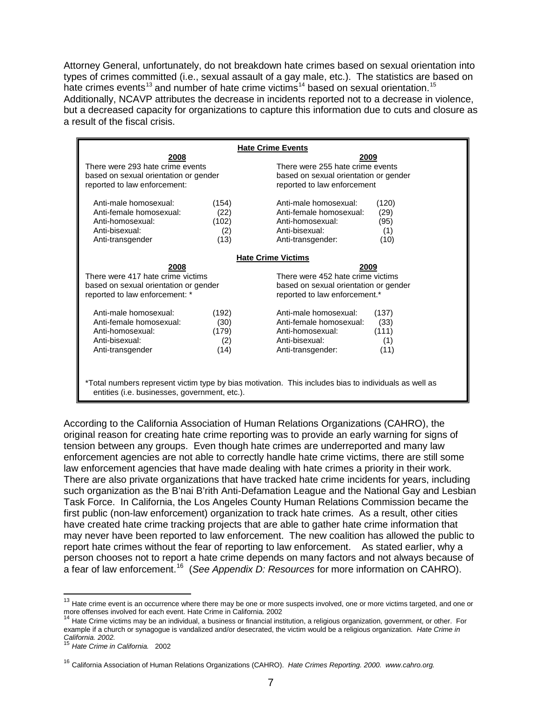Attorney General, unfortunately, do not breakdown hate crimes based on sexual orientation into types of crimes committed (i.e., sexual assault of a gay male, etc.). The statistics are based on hate crimes events<sup>[13](#page-6-0)</sup> and number of hate crime victims<sup>[14](#page-6-1)</sup> based on sexual orientation.<sup>[15](#page-6-2)</sup> Additionally, NCAVP attributes the decrease in incidents reported not to a decrease in violence, but a decreased capacity for organizations to capture this information due to cuts and closure as a result of the fiscal crisis.

| <b>Hate Crime Events</b>                                                                                                                               |                                       |                                                                                                                     |                                       |  |  |
|--------------------------------------------------------------------------------------------------------------------------------------------------------|---------------------------------------|---------------------------------------------------------------------------------------------------------------------|---------------------------------------|--|--|
| 2008<br>There were 293 hate crime events<br>based on sexual orientation or gender<br>reported to law enforcement:                                      |                                       | 2009<br>There were 255 hate crime events<br>based on sexual orientation or gender<br>reported to law enforcement    |                                       |  |  |
| Anti-male homosexual:<br>Anti-female homosexual:<br>Anti-homosexual:<br>Anti-bisexual:<br>Anti-transgender                                             | (154)<br>(22)<br>(102)<br>(2)<br>(13) | Anti-male homosexual:<br>Anti-female homosexual:<br>Anti-homosexual:<br>Anti-bisexual:<br>Anti-transgender:         | (120)<br>(29)<br>(95)<br>(1)<br>(10)  |  |  |
| <b>Hate Crime Victims</b>                                                                                                                              |                                       |                                                                                                                     |                                       |  |  |
| 2008<br>There were 417 hate crime victims<br>based on sexual orientation or gender<br>reported to law enforcement: *                                   |                                       | 2009<br>There were 452 hate crime victims<br>based on sexual orientation or gender<br>reported to law enforcement.* |                                       |  |  |
| Anti-male homosexual:<br>Anti-female homosexual:<br>Anti-homosexual:<br>Anti-bisexual:<br>Anti-transgender                                             | (192)<br>(30)<br>(179)<br>(2)<br>(14) | Anti-male homosexual:<br>Anti-female homosexual:<br>Anti-homosexual:<br>Anti-bisexual:<br>Anti-transgender:         | (137)<br>(33)<br>(111)<br>(1)<br>(11) |  |  |
| *Total numbers represent victim type by bias motivation. This includes bias to individuals as well as<br>entities (i.e. businesses, government, etc.). |                                       |                                                                                                                     |                                       |  |  |

According to the California Association of Human Relations Organizations (CAHRO), the original reason for creating hate crime reporting was to provide an early warning for signs of tension between any groups. Even though hate crimes are underreported and many law enforcement agencies are not able to correctly handle hate crime victims, there are still some law enforcement agencies that have made dealing with hate crimes a priority in their work. There are also private organizations that have tracked hate crime incidents for years, including such organization as the B'nai B'rith Anti-Defamation League and the National Gay and Lesbian Task Force. In California, the Los Angeles County Human Relations Commission became the first public (non-law enforcement) organization to track hate crimes. As a result, other cities have created hate crime tracking projects that are able to gather hate crime information that may never have been reported to law enforcement. The new coalition has allowed the public to report hate crimes without the fear of reporting to law enforcement. As stated earlier, why a person chooses not to report a hate crime depends on many factors and not always because of a fear of law enforcement.[16](#page-6-3) (*See Appendix D: Resources* for more information on CAHRO).

<span id="page-6-0"></span><sup>&</sup>lt;sup>13</sup> Hate crime event is an occurrence where there may be one or more suspects involved, one or more victims targeted, and one or more suspects involved for each event. Hate Crime in California. 2002

<span id="page-6-1"></span>Hate Crime victims may be an individual, a business or financial institution, a religious organization, government, or other. For example if a church or synagogue is vandalized and/or desecrated, the victim would be a religious organization. *Hate Crime in California. 2002.*

<span id="page-6-2"></span><sup>15</sup> *Hate Crime in California.* 2002

<span id="page-6-3"></span><sup>16</sup> California Association of Human Relations Organizations (CAHRO). *Hate Crimes Reporting. 2000. www.cahro.org.*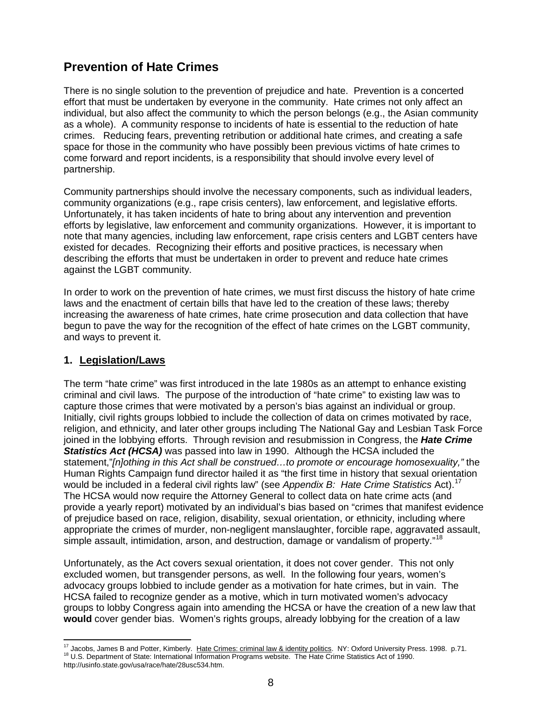# **Prevention of Hate Crimes**

There is no single solution to the prevention of prejudice and hate. Prevention is a concerted effort that must be undertaken by everyone in the community. Hate crimes not only affect an individual, but also affect the community to which the person belongs (e.g., the Asian community as a whole). A community response to incidents of hate is essential to the reduction of hate crimes. Reducing fears, preventing retribution or additional hate crimes, and creating a safe space for those in the community who have possibly been previous victims of hate crimes to come forward and report incidents, is a responsibility that should involve every level of partnership.

Community partnerships should involve the necessary components, such as individual leaders, community organizations (e.g., rape crisis centers), law enforcement, and legislative efforts. Unfortunately, it has taken incidents of hate to bring about any intervention and prevention efforts by legislative, law enforcement and community organizations. However, it is important to note that many agencies, including law enforcement, rape crisis centers and LGBT centers have existed for decades. Recognizing their efforts and positive practices, is necessary when describing the efforts that must be undertaken in order to prevent and reduce hate crimes against the LGBT community.

In order to work on the prevention of hate crimes, we must first discuss the history of hate crime laws and the enactment of certain bills that have led to the creation of these laws; thereby increasing the awareness of hate crimes, hate crime prosecution and data collection that have begun to pave the way for the recognition of the effect of hate crimes on the LGBT community, and ways to prevent it.

#### **1. Legislation/Laws**

The term "hate crime" was first introduced in the late 1980s as an attempt to enhance existing criminal and civil laws. The purpose of the introduction of "hate crime" to existing law was to capture those crimes that were motivated by a person's bias against an individual or group. Initially, civil rights groups lobbied to include the collection of data on crimes motivated by race, religion, and ethnicity, and later other groups including The National Gay and Lesbian Task Force joined in the lobbying efforts. Through revision and resubmission in Congress, the *Hate Crime Statistics Act (HCSA)* was passed into law in 1990. Although the HCSA included the statement,"*[n]othing in this Act shall be construed…to promote or encourage homosexuality,"* the Human Rights Campaign fund director hailed it as "the first time in history that sexual orientation would be included in a federal civil rights law" (see *Appendix B: Hate Crime Statistics* Act).[17](#page-7-0)  The HCSA would now require the Attorney General to collect data on hate crime acts (and provide a yearly report) motivated by an individual's bias based on "crimes that manifest evidence of prejudice based on race, religion, disability, sexual orientation, or ethnicity, including where appropriate the crimes of murder, non-negligent manslaughter, forcible rape, aggravated assault, simple assault, intimidation, arson, and destruction, damage or vandalism of property."<sup>[18](#page-7-1)</sup>

Unfortunately, as the Act covers sexual orientation, it does not cover gender. This not only excluded women, but transgender persons, as well. In the following four years, women's advocacy groups lobbied to include gender as a motivation for hate crimes, but in vain. The HCSA failed to recognize gender as a motive, which in turn motivated women's advocacy groups to lobby Congress again into amending the HCSA or have the creation of a new law that **would** cover gender bias. Women's rights groups, already lobbying for the creation of a law

<span id="page-7-1"></span><span id="page-7-0"></span><sup>&</sup>lt;sup>17</sup> Jacobs, James B and Potter, Kimberly. Hate Crimes: criminal law & identity politics. NY: Oxford University Press. 1998. p.71.<br><sup>18</sup> U.S. Department of State: International Information Programs website. The Hate Crime S http://usinfo.state.gov/usa/race/hate/28usc534.htm.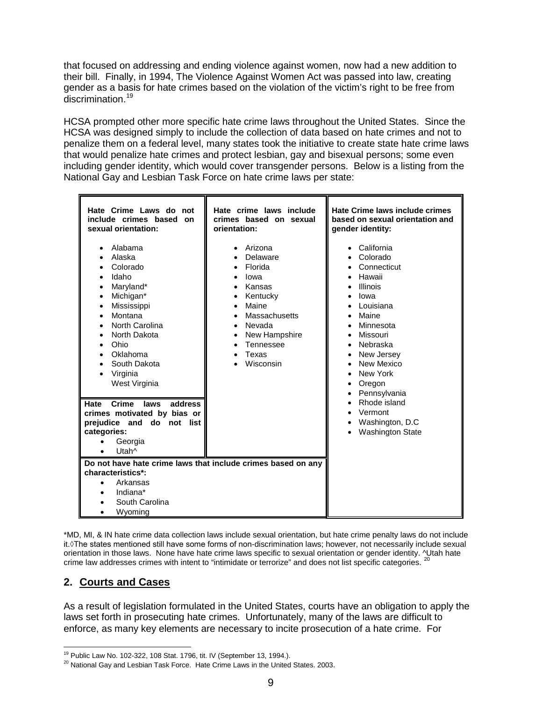that focused on addressing and ending violence against women, now had a new addition to their bill. Finally, in 1994, The Violence Against Women Act was passed into law, creating gender as a basis for hate crimes based on the violation of the victim's right to be free from discrimination.<sup>[19](#page-8-0)</sup>

HCSA prompted other more specific hate crime laws throughout the United States. Since the HCSA was designed simply to include the collection of data based on hate crimes and not to penalize them on a federal level, many states took the initiative to create state hate crime laws that would penalize hate crimes and protect lesbian, gay and bisexual persons; some even including gender identity, which would cover transgender persons. Below is a listing from the National Gay and Lesbian Task Force on hate crime laws per state:

| Hate Crime Laws do not<br>include crimes based<br>on<br>sexual orientation:                                                                                                                   | Hate crime laws include<br>crimes based on sexual<br>orientation:                                                                                                 | Hate Crime laws include crimes<br>based on sexual orientation and<br>gender identity:                                                                                                                   |  |
|-----------------------------------------------------------------------------------------------------------------------------------------------------------------------------------------------|-------------------------------------------------------------------------------------------------------------------------------------------------------------------|---------------------------------------------------------------------------------------------------------------------------------------------------------------------------------------------------------|--|
| Alabama<br>Alaska<br>Colorado<br>Idaho<br>Maryland*<br>Michigan*<br>Mississippi<br>Montana<br>North Carolina<br>North Dakota<br>Ohio<br>Oklahoma<br>South Dakota<br>Virginia<br>West Virginia | Arizona<br>Delaware<br>Florida<br>lowa<br>Kansas<br>Kentucky<br>Maine<br>Massachusetts<br>Nevada<br>New Hampshire<br>$\bullet$<br>Tennessee<br>Texas<br>Wisconsin | California<br>Colorado<br>Connecticut<br>Hawaii<br><b>Illinois</b><br>lowa<br>Louisiana<br>Maine<br>Minnesota<br>Missouri<br>Nebraska<br>New Jersey<br>New Mexico<br>New York<br>Oregon<br>Pennsylvania |  |
| Crime<br>address<br>Hate<br>laws<br>crimes motivated by bias or<br>prejudice and do not list<br>categories:<br>Georgia<br>Utah^                                                               |                                                                                                                                                                   | Rhode island<br>Vermont<br>Washington, D.C<br><b>Washington State</b>                                                                                                                                   |  |
| Do not have hate crime laws that include crimes based on any<br>characteristics*:<br>Arkansas<br>Indiana*<br>South Carolina<br>Wyoming                                                        |                                                                                                                                                                   |                                                                                                                                                                                                         |  |

\*MD, MI, & IN hate crime data collection laws include sexual orientation, but hate crime penalty laws do not include it.◊The states mentioned still have some forms of non-discrimination laws; however, not necessarily include sexual orientation in those laws. None have hate crime laws specific to sexual orientation or gender identity. <sup>^Utah</sup> hate crime law addresses crimes with intent to "intimidate or terrorize" and does not list specific categories.

#### **2. Courts and Cases**

As a result of legislation formulated in the United States, courts have an obligation to apply the laws set forth in prosecuting hate crimes. Unfortunately, many of the laws are difficult to enforce, as many key elements are necessary to incite prosecution of a hate crime. For

<sup>&</sup>lt;sup>19</sup> Public Law No. 102-322, 108 Stat. 1796, tit. IV (September 13, 1994.).

<span id="page-8-1"></span><span id="page-8-0"></span> $^{20}$  National Gay and Lesbian Task Force. Hate Crime Laws in the United States. 2003.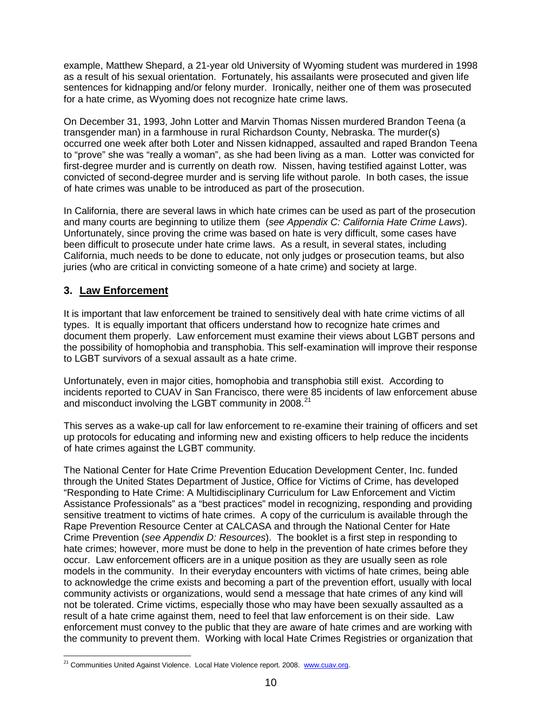example, Matthew Shepard, a 21-year old University of Wyoming student was murdered in 1998 as a result of his sexual orientation. Fortunately, his assailants were prosecuted and given life sentences for kidnapping and/or felony murder. Ironically, neither one of them was prosecuted for a hate crime, as Wyoming does not recognize hate crime laws.

On December 31, 1993, John Lotter and Marvin Thomas Nissen murdered Brandon Teena (a transgender man) in a farmhouse in rural Richardson County, Nebraska. The murder(s) occurred one week after both Loter and Nissen kidnapped, assaulted and raped Brandon Teena to "prove" she was "really a woman", as she had been living as a man. Lotter was convicted for first-degree murder and is currently on death row. Nissen, having testified against Lotter, was convicted of second-degree murder and is serving life without parole. In both cases, the issue of hate crimes was unable to be introduced as part of the prosecution.

In California, there are several laws in which hate crimes can be used as part of the prosecution and many courts are beginning to utilize them (*see Appendix C: California Hate Crime Laws*). Unfortunately, since proving the crime was based on hate is very difficult, some cases have been difficult to prosecute under hate crime laws. As a result, in several states, including California, much needs to be done to educate, not only judges or prosecution teams, but also juries (who are critical in convicting someone of a hate crime) and society at large.

#### **3. Law Enforcement**

It is important that law enforcement be trained to sensitively deal with hate crime victims of all types. It is equally important that officers understand how to recognize hate crimes and document them properly. Law enforcement must examine their views about LGBT persons and the possibility of homophobia and transphobia. This self-examination will improve their response to LGBT survivors of a sexual assault as a hate crime.

Unfortunately, even in major cities, homophobia and transphobia still exist. According to incidents reported to CUAV in San Francisco, there were 85 incidents of law enforcement abuse and misconduct involving the LGBT community in 2008.<sup>21</sup>

This serves as a wake-up call for law enforcement to re-examine their training of officers and set up protocols for educating and informing new and existing officers to help reduce the incidents of hate crimes against the LGBT community.

The National Center for Hate Crime Prevention Education Development Center, Inc. funded through the United States Department of Justice, Office for Victims of Crime, has developed "Responding to Hate Crime: A Multidisciplinary Curriculum for Law Enforcement and Victim Assistance Professionals" as a "best practices" model in recognizing, responding and providing sensitive treatment to victims of hate crimes. A copy of the curriculum is available through the Rape Prevention Resource Center at CALCASA and through the National Center for Hate Crime Prevention (*see Appendix D: Resources*). The booklet is a first step in responding to hate crimes; however, more must be done to help in the prevention of hate crimes before they occur. Law enforcement officers are in a unique position as they are usually seen as role models in the community. In their everyday encounters with victims of hate crimes, being able to acknowledge the crime exists and becoming a part of the prevention effort, usually with local community activists or organizations, would send a message that hate crimes of any kind will not be tolerated. Crime victims, especially those who may have been sexually assaulted as a result of a hate crime against them, need to feel that law enforcement is on their side. Law enforcement must convey to the public that they are aware of hate crimes and are working with the community to prevent them. Working with local Hate Crimes Registries or organization that

<span id="page-9-0"></span><sup>&</sup>lt;sup>21</sup> Communities United Against Violence. Local Hate Violence report. 2008. [www.cuav.org.](http://www.cuav.org/)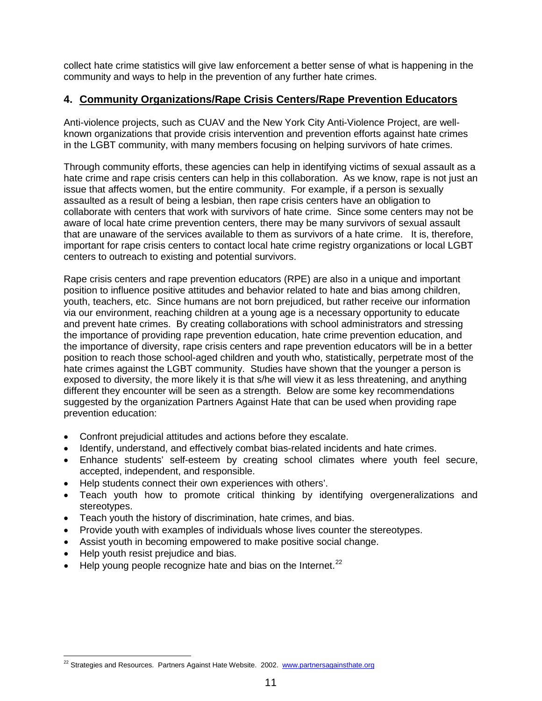collect hate crime statistics will give law enforcement a better sense of what is happening in the community and ways to help in the prevention of any further hate crimes.

#### **4. Community Organizations/Rape Crisis Centers/Rape Prevention Educators**

Anti-violence projects, such as CUAV and the New York City Anti-Violence Project, are wellknown organizations that provide crisis intervention and prevention efforts against hate crimes in the LGBT community, with many members focusing on helping survivors of hate crimes.

Through community efforts, these agencies can help in identifying victims of sexual assault as a hate crime and rape crisis centers can help in this collaboration. As we know, rape is not just an issue that affects women, but the entire community. For example, if a person is sexually assaulted as a result of being a lesbian, then rape crisis centers have an obligation to collaborate with centers that work with survivors of hate crime. Since some centers may not be aware of local hate crime prevention centers, there may be many survivors of sexual assault that are unaware of the services available to them as survivors of a hate crime. It is, therefore, important for rape crisis centers to contact local hate crime registry organizations or local LGBT centers to outreach to existing and potential survivors.

Rape crisis centers and rape prevention educators (RPE) are also in a unique and important position to influence positive attitudes and behavior related to hate and bias among children, youth, teachers, etc. Since humans are not born prejudiced, but rather receive our information via our environment, reaching children at a young age is a necessary opportunity to educate and prevent hate crimes. By creating collaborations with school administrators and stressing the importance of providing rape prevention education, hate crime prevention education, and the importance of diversity, rape crisis centers and rape prevention educators will be in a better position to reach those school-aged children and youth who, statistically, perpetrate most of the hate crimes against the LGBT community. Studies have shown that the younger a person is exposed to diversity, the more likely it is that s/he will view it as less threatening, and anything different they encounter will be seen as a strength. Below are some key recommendations suggested by the organization Partners Against Hate that can be used when providing rape prevention education:

- Confront prejudicial attitudes and actions before they escalate.
- Identify, understand, and effectively combat bias-related incidents and hate crimes.
- Enhance students' self-esteem by creating school climates where youth feel secure, accepted, independent, and responsible.
- Help students connect their own experiences with others'.
- Teach youth how to promote critical thinking by identifying overgeneralizations and stereotypes.
- Teach youth the history of discrimination, hate crimes, and bias.
- Provide youth with examples of individuals whose lives counter the stereotypes.
- Assist youth in becoming empowered to make positive social change.
- Help youth resist prejudice and bias.
- Help young people recognize hate and bias on the Internet.<sup>[22](#page-10-0)</sup>

<span id="page-10-0"></span><sup>&</sup>lt;sup>22</sup> Strategies and Resources. Partners Against Hate Website. 2002. [www.partnersagainsthate.org](http://www.partnersagainsthate.org/)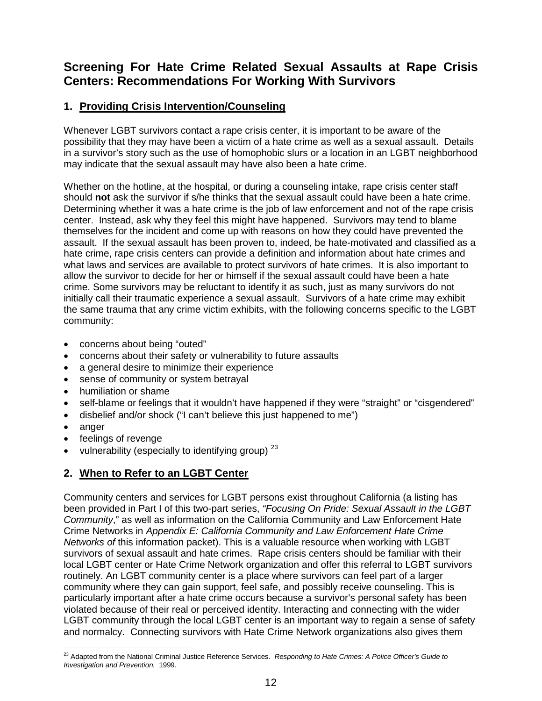# **Screening For Hate Crime Related Sexual Assaults at Rape Crisis Centers: Recommendations For Working With Survivors**

#### **1. Providing Crisis Intervention/Counseling**

Whenever LGBT survivors contact a rape crisis center, it is important to be aware of the possibility that they may have been a victim of a hate crime as well as a sexual assault. Details in a survivor's story such as the use of homophobic slurs or a location in an LGBT neighborhood may indicate that the sexual assault may have also been a hate crime.

Whether on the hotline, at the hospital, or during a counseling intake, rape crisis center staff should **not** ask the survivor if s/he thinks that the sexual assault could have been a hate crime. Determining whether it was a hate crime is the job of law enforcement and not of the rape crisis center. Instead, ask why they feel this might have happened. Survivors may tend to blame themselves for the incident and come up with reasons on how they could have prevented the assault. If the sexual assault has been proven to, indeed, be hate-motivated and classified as a hate crime, rape crisis centers can provide a definition and information about hate crimes and what laws and services are available to protect survivors of hate crimes. It is also important to allow the survivor to decide for her or himself if the sexual assault could have been a hate crime. Some survivors may be reluctant to identify it as such, just as many survivors do not initially call their traumatic experience a sexual assault. Survivors of a hate crime may exhibit the same trauma that any crime victim exhibits, with the following concerns specific to the LGBT community:

- concerns about being "outed"
- concerns about their safety or vulnerability to future assaults
- a general desire to minimize their experience
- sense of community or system betrayal
- humiliation or shame
- self-blame or feelings that it wouldn't have happened if they were "straight" or "cisgendered"
- disbelief and/or shock ("I can't believe this just happened to me")
- anger
- feelings of revenge
- vulnerability (especially to identifying group)  $23$

#### **2. When to Refer to an LGBT Center**

Community centers and services for LGBT persons exist throughout California (a listing has been provided in Part I of this two-part series, *"Focusing On Pride: Sexual Assault in the LGBT Community*," as well as information on the California Community and Law Enforcement Hate Crime Networks in *Appendix E: California Community and Law Enforcement Hate Crime Networks of* this information packet). This is a valuable resource when working with LGBT survivors of sexual assault and hate crimes. Rape crisis centers should be familiar with their local LGBT center or Hate Crime Network organization and offer this referral to LGBT survivors routinely. An LGBT community center is a place where survivors can feel part of a larger community where they can gain support, feel safe, and possibly receive counseling. This is particularly important after a hate crime occurs because a survivor's personal safety has been violated because of their real or perceived identity. Interacting and connecting with the wider LGBT community through the local LGBT center is an important way to regain a sense of safety and normalcy. Connecting survivors with Hate Crime Network organizations also gives them

<span id="page-11-0"></span> <sup>23</sup> Adapted from the National Criminal Justice Reference Services. *Responding to Hate Crimes: A Police Officer's Guide to Investigation and Prevention.* 1999.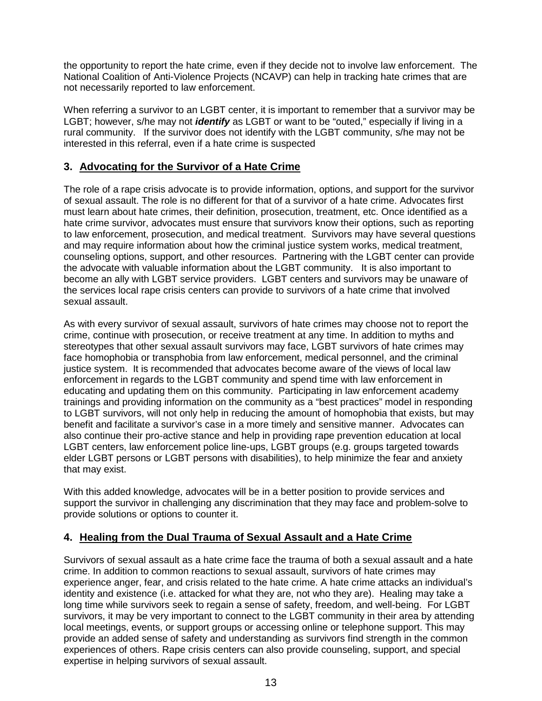the opportunity to report the hate crime, even if they decide not to involve law enforcement. The National Coalition of Anti-Violence Projects (NCAVP) can help in tracking hate crimes that are not necessarily reported to law enforcement.

When referring a survivor to an LGBT center, it is important to remember that a survivor may be LGBT; however, s/he may not *identify* as LGBT or want to be "outed," especially if living in a rural community. If the survivor does not identify with the LGBT community, s/he may not be interested in this referral, even if a hate crime is suspected

#### **3. Advocating for the Survivor of a Hate Crime**

The role of a rape crisis advocate is to provide information, options, and support for the survivor of sexual assault. The role is no different for that of a survivor of a hate crime. Advocates first must learn about hate crimes, their definition, prosecution, treatment, etc. Once identified as a hate crime survivor, advocates must ensure that survivors know their options, such as reporting to law enforcement, prosecution, and medical treatment. Survivors may have several questions and may require information about how the criminal justice system works, medical treatment, counseling options, support, and other resources. Partnering with the LGBT center can provide the advocate with valuable information about the LGBT community. It is also important to become an ally with LGBT service providers. LGBT centers and survivors may be unaware of the services local rape crisis centers can provide to survivors of a hate crime that involved sexual assault.

As with every survivor of sexual assault, survivors of hate crimes may choose not to report the crime, continue with prosecution, or receive treatment at any time. In addition to myths and stereotypes that other sexual assault survivors may face, LGBT survivors of hate crimes may face homophobia or transphobia from law enforcement, medical personnel, and the criminal justice system. It is recommended that advocates become aware of the views of local law enforcement in regards to the LGBT community and spend time with law enforcement in educating and updating them on this community. Participating in law enforcement academy trainings and providing information on the community as a "best practices" model in responding to LGBT survivors, will not only help in reducing the amount of homophobia that exists, but may benefit and facilitate a survivor's case in a more timely and sensitive manner. Advocates can also continue their pro-active stance and help in providing rape prevention education at local LGBT centers, law enforcement police line-ups, LGBT groups (e.g. groups targeted towards elder LGBT persons or LGBT persons with disabilities), to help minimize the fear and anxiety that may exist.

With this added knowledge, advocates will be in a better position to provide services and support the survivor in challenging any discrimination that they may face and problem-solve to provide solutions or options to counter it.

#### **4. Healing from the Dual Trauma of Sexual Assault and a Hate Crime**

Survivors of sexual assault as a hate crime face the trauma of both a sexual assault and a hate crime. In addition to common reactions to sexual assault, survivors of hate crimes may experience anger, fear, and crisis related to the hate crime. A hate crime attacks an individual's identity and existence (i.e. attacked for what they are, not who they are). Healing may take a long time while survivors seek to regain a sense of safety, freedom, and well-being. For LGBT survivors, it may be very important to connect to the LGBT community in their area by attending local meetings, events, or support groups or accessing online or telephone support. This may provide an added sense of safety and understanding as survivors find strength in the common experiences of others. Rape crisis centers can also provide counseling, support, and special expertise in helping survivors of sexual assault.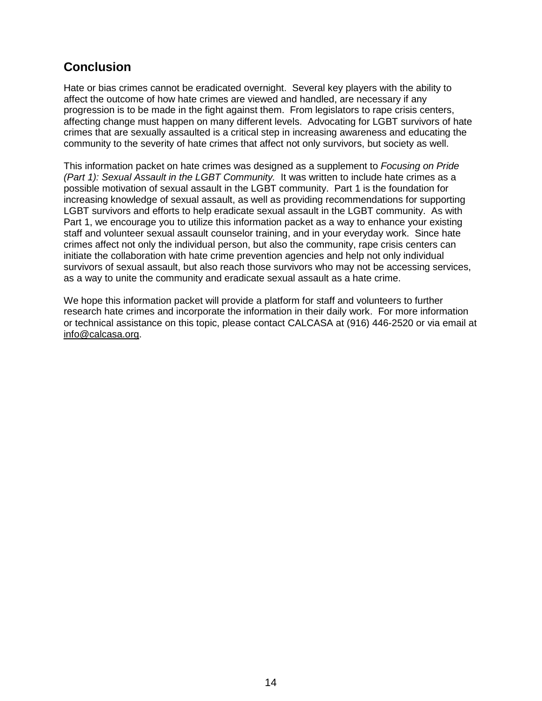# **Conclusion**

Hate or bias crimes cannot be eradicated overnight. Several key players with the ability to affect the outcome of how hate crimes are viewed and handled, are necessary if any progression is to be made in the fight against them. From legislators to rape crisis centers, affecting change must happen on many different levels. Advocating for LGBT survivors of hate crimes that are sexually assaulted is a critical step in increasing awareness and educating the community to the severity of hate crimes that affect not only survivors, but society as well.

This information packet on hate crimes was designed as a supplement to *Focusing on Pride (Part 1): Sexual Assault in the LGBT Community.* It was written to include hate crimes as a possible motivation of sexual assault in the LGBT community. Part 1 is the foundation for increasing knowledge of sexual assault, as well as providing recommendations for supporting LGBT survivors and efforts to help eradicate sexual assault in the LGBT community. As with Part 1, we encourage you to utilize this information packet as a way to enhance your existing staff and volunteer sexual assault counselor training, and in your everyday work. Since hate crimes affect not only the individual person, but also the community, rape crisis centers can initiate the collaboration with hate crime prevention agencies and help not only individual survivors of sexual assault, but also reach those survivors who may not be accessing services, as a way to unite the community and eradicate sexual assault as a hate crime.

We hope this information packet will provide a platform for staff and volunteers to further research hate crimes and incorporate the information in their daily work. For more information or technical assistance on this topic, please contact CALCASA at (916) 446-2520 or via email at [info@calcasa.org.](mailto:info@calcasa.org)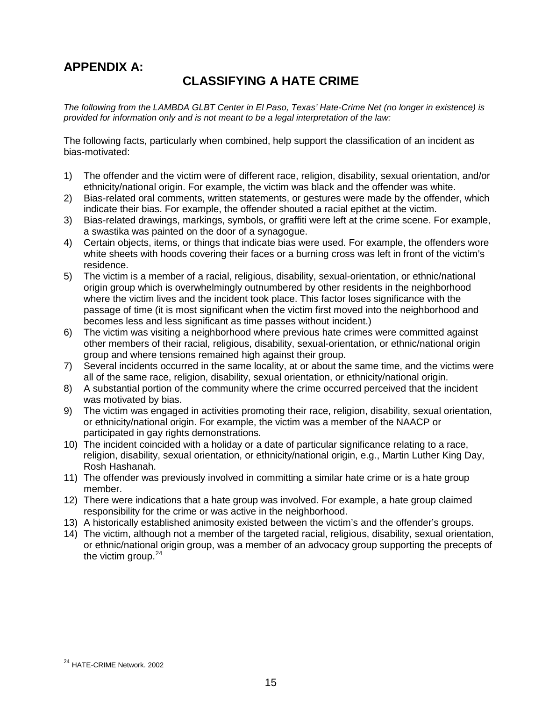# **APPENDIX A:**

# **CLASSIFYING A HATE CRIME**

*The following from the LAMBDA GLBT Center in El Paso, Texas' Hate-Crime Net (no longer in existence) is provided for information only and is not meant to be a legal interpretation of the law:*

The following facts, particularly when combined, help support the classification of an incident as bias-motivated:

- 1) The offender and the victim were of different race, religion, disability, sexual orientation, and/or ethnicity/national origin. For example, the victim was black and the offender was white.
- 2) Bias-related oral comments, written statements, or gestures were made by the offender, which indicate their bias. For example, the offender shouted a racial epithet at the victim.
- 3) Bias-related drawings, markings, symbols, or graffiti were left at the crime scene. For example, a swastika was painted on the door of a synagogue.
- 4) Certain objects, items, or things that indicate bias were used. For example, the offenders wore white sheets with hoods covering their faces or a burning cross was left in front of the victim's residence.
- 5) The victim is a member of a racial, religious, disability, sexual-orientation, or ethnic/national origin group which is overwhelmingly outnumbered by other residents in the neighborhood where the victim lives and the incident took place. This factor loses significance with the passage of time (it is most significant when the victim first moved into the neighborhood and becomes less and less significant as time passes without incident.)
- 6) The victim was visiting a neighborhood where previous hate crimes were committed against other members of their racial, religious, disability, sexual-orientation, or ethnic/national origin group and where tensions remained high against their group.
- 7) Several incidents occurred in the same locality, at or about the same time, and the victims were all of the same race, religion, disability, sexual orientation, or ethnicity/national origin.
- 8) A substantial portion of the community where the crime occurred perceived that the incident was motivated by bias.
- 9) The victim was engaged in activities promoting their race, religion, disability, sexual orientation, or ethnicity/national origin. For example, the victim was a member of the NAACP or participated in gay rights demonstrations.
- 10) The incident coincided with a holiday or a date of particular significance relating to a race, religion, disability, sexual orientation, or ethnicity/national origin, e.g., Martin Luther King Day, Rosh Hashanah.
- 11) The offender was previously involved in committing a similar hate crime or is a hate group member.
- 12) There were indications that a hate group was involved. For example, a hate group claimed responsibility for the crime or was active in the neighborhood.
- 13) A historically established animosity existed between the victim's and the offender's groups.
- 14) The victim, although not a member of the targeted racial, religious, disability, sexual orientation, or ethnic/national origin group, was a member of an advocacy group supporting the precepts of the victim group. $24$

<span id="page-14-0"></span> <sup>24</sup> HATE-CRIME Network. <sup>2002</sup>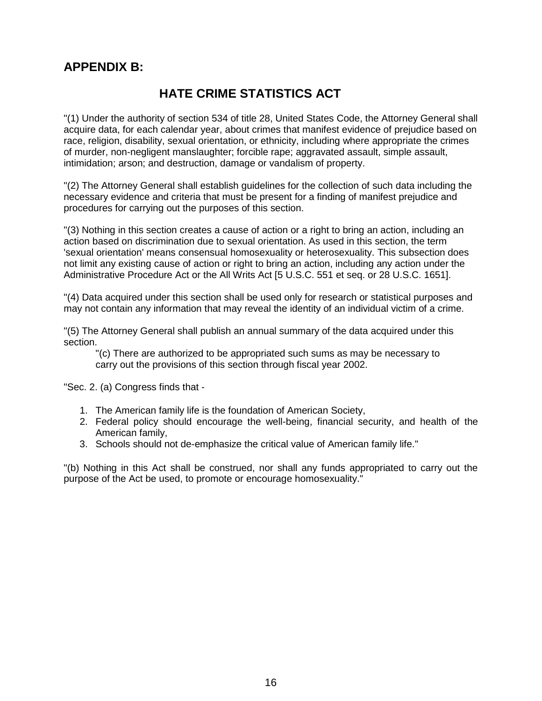# **APPENDIX B:**

# **HATE CRIME STATISTICS ACT**

"(1) Under the authority of section 534 of title 28, United States Code, the Attorney General shall acquire data, for each calendar year, about crimes that manifest evidence of prejudice based on race, religion, disability, sexual orientation, or ethnicity, including where appropriate the crimes of murder, non-negligent manslaughter; forcible rape; aggravated assault, simple assault, intimidation; arson; and destruction, damage or vandalism of property.

"(2) The Attorney General shall establish guidelines for the collection of such data including the necessary evidence and criteria that must be present for a finding of manifest prejudice and procedures for carrying out the purposes of this section.

"(3) Nothing in this section creates a cause of action or a right to bring an action, including an action based on discrimination due to sexual orientation. As used in this section, the term 'sexual orientation' means consensual homosexuality or heterosexuality. This subsection does not limit any existing cause of action or right to bring an action, including any action under the Administrative Procedure Act or the All Writs Act [5 U.S.C. 551 et seq. or 28 U.S.C. 1651].

"(4) Data acquired under this section shall be used only for research or statistical purposes and may not contain any information that may reveal the identity of an individual victim of a crime.

"(5) The Attorney General shall publish an annual summary of the data acquired under this section.

"(c) There are authorized to be appropriated such sums as may be necessary to carry out the provisions of this section through fiscal year 2002.

"Sec. 2. (a) Congress finds that -

- 1. The American family life is the foundation of American Society,
- 2. Federal policy should encourage the well-being, financial security, and health of the American family,
- 3. Schools should not de-emphasize the critical value of American family life."

"(b) Nothing in this Act shall be construed, nor shall any funds appropriated to carry out the purpose of the Act be used, to promote or encourage homosexuality."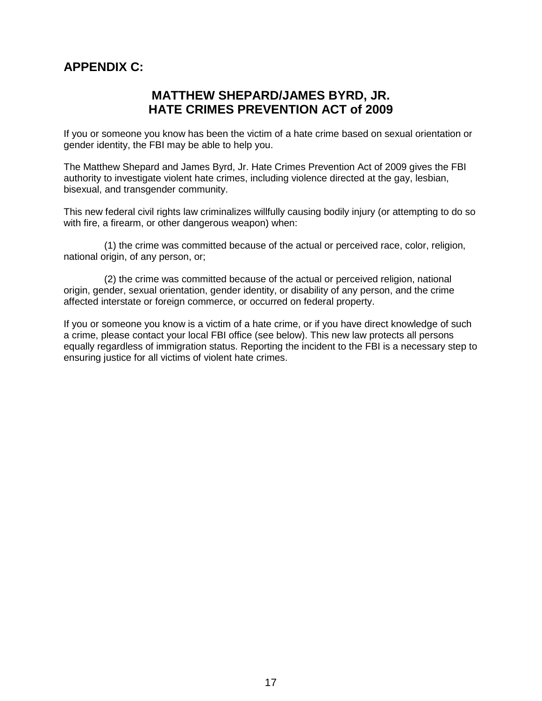# **APPENDIX C:**

# **MATTHEW SHEPARD/JAMES BYRD, JR. HATE CRIMES PREVENTION ACT of 2009**

If you or someone you know has been the victim of a hate crime based on sexual orientation or gender identity, the FBI may be able to help you.

The Matthew Shepard and James Byrd, Jr. Hate Crimes Prevention Act of 2009 gives the FBI authority to investigate violent hate crimes, including violence directed at the gay, lesbian, bisexual, and transgender community.

This new federal civil rights law criminalizes willfully causing bodily injury (or attempting to do so with fire, a firearm, or other dangerous weapon) when:

(1) the crime was committed because of the actual or perceived race, color, religion, national origin, of any person, or;

(2) the crime was committed because of the actual or perceived religion, national origin, gender, sexual orientation, gender identity, or disability of any person, and the crime affected interstate or foreign commerce, or occurred on federal property.

If you or someone you know is a victim of a hate crime, or if you have direct knowledge of such a crime, please contact your local FBI office (see below). This new law protects all persons equally regardless of immigration status. Reporting the incident to the FBI is a necessary step to ensuring justice for all victims of violent hate crimes.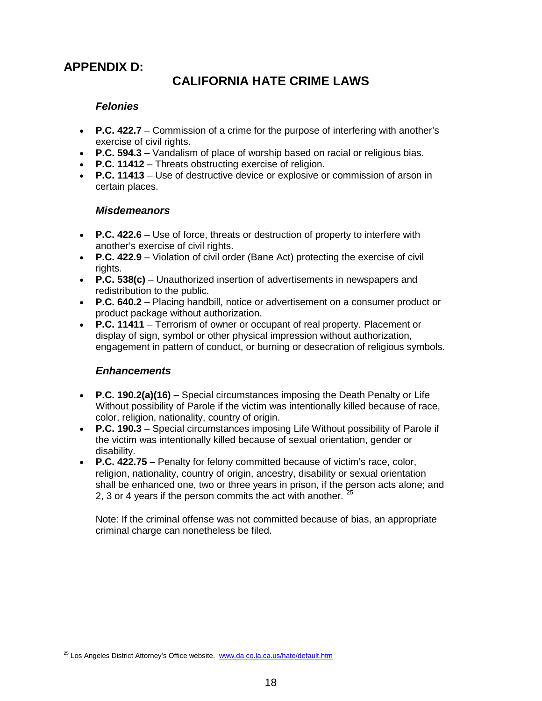# **APPENDIX D:**

# **CALIFORNIA HATE CRIME LAWS**

#### *Felonies*

- **P.C. 422.7** Commission of a crime for the purpose of interfering with another's exercise of civil rights.
- **P.C. 594.3** Vandalism of place of worship based on racial or religious bias.
- **P.C. 11412** Threats obstructing exercise of religion.
- **P.C. 11413** Use of destructive device or explosive or commission of arson in certain places.

#### *Misdemeanors*

- **P.C. 422.6** Use of force, threats or destruction of property to interfere with another's exercise of civil rights.
- **P.C. 422.9** Violation of civil order (Bane Act) protecting the exercise of civil rights.
- **P.C. 538(c)** Unauthorized insertion of advertisements in newspapers and redistribution to the public.
- **P.C. 640.2** Placing handbill, notice or advertisement on a consumer product or product package without authorization.
- **P.C. 11411** Terrorism of owner or occupant of real property. Placement or display of sign, symbol or other physical impression without authorization, engagement in pattern of conduct, or burning or desecration of religious symbols.

#### *Enhancements*

- **P.C. 190.2(a)(16)** Special circumstances imposing the Death Penalty or Life Without possibility of Parole if the victim was intentionally killed because of race, color, religion, nationality, country of origin.
- **P.C. 190.3** Special circumstances imposing Life Without possibility of Parole if the victim was intentionally killed because of sexual orientation, gender or disability.
- **P.C. 422.75** Penalty for felony committed because of victim's race, color, religion, nationality, country of origin, ancestry, disability or sexual orientation shall be enhanced one, two or three years in prison, if the person acts alone; and 2, 3 or 4 years if the person commits the act with another.  $\frac{3}{5}$

Note: If the criminal offense was not committed because of bias, an appropriate criminal charge can nonetheless be filed.

<span id="page-17-0"></span><sup>&</sup>lt;sup>25</sup> Los Angeles District Attorney's Office website. [www.da.co.la.ca.us/hate/default.htm](http://www.da.co.la.ca.us/hate/default.htm)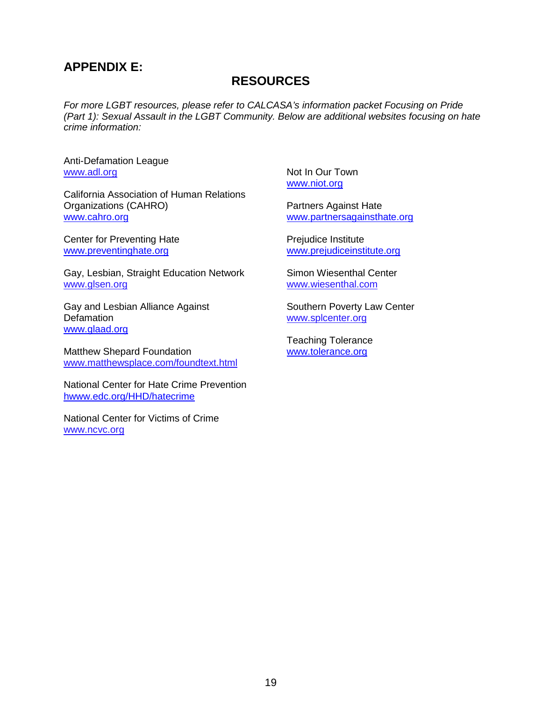# **APPENDIX E:**

# **RESOURCES**

*For more LGBT resources, please refer to CALCASA's information packet Focusing on Pride (Part 1): Sexual Assault in the LGBT Community. Below are additional websites focusing on hate crime information:*

[Anti-Defamation League](http://www.adl.org/) www.adl.org

California Association of Human Relations Organizations (CAHRO) [www.cahro.org](http://www.cahro.org/)

Center for Preventing Hate [www.preventinghate.org](http://www.preventinghate.org/)

Gay, Lesbian, Straight Education Network www.glsen.org

Gay and Lesbian Alliance Against **Defamation** [www.glaad.org](http://www.glaad.org/)

[Matthew Shepard Foundation](http://matthewsplace.com/foundtext.html) www[.matthewsplace.com/foundtext.html](http://matthewsplace.com/foundtext.html)

National Center for Hate Crime Prevention hwww.edc.org/HHD/hatecrime

[National Center for Victims of Crime](http://www.ncvc.org/) www.ncvc.org

[Not In Our Town](http://www.pbs.org/niot/) [www.niot.org](http://www.niot.org/)

[Partners Against Hate](http://www.partnersagainsthate.org/) [www.partnersagainsthate.org](http://www.partnersagainsthate.org/)

[Prejudice Institute](http://www.prejudiceinstitute.org/) [www.prejudiceinstitute.org](http://www.prejudiceinstitute.org/)

[Simon Wiesenthal Center](http://www.wiesenthal.com/) www.wiesenthal.com

[Southern Poverty Law Center](http://splcenter.org/) www.splcenter.org

Teaching Tolerance [www.tolerance.org](http://www.tolerance.org/)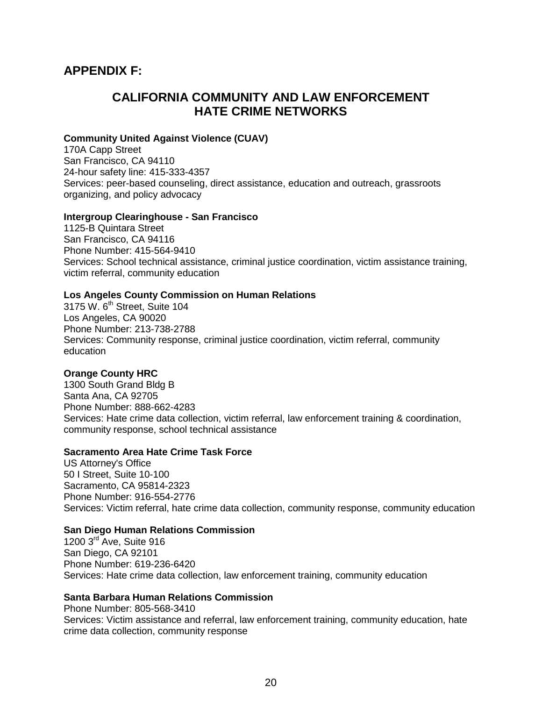# **APPENDIX F:**

# **CALIFORNIA COMMUNITY AND LAW ENFORCEMENT HATE CRIME NETWORKS**

#### **Community United Against Violence (CUAV)**

170A Capp Street San Francisco, CA 94110 24-hour safety line: 415-333-4357 Services: peer-based counseling, direct assistance, education and outreach, grassroots organizing, and policy advocacy

#### **Intergroup Clearinghouse - San Francisco**

1125-B Quintara Street San Francisco, CA 94116 Phone Number: 415-564-9410 Services: School technical assistance, criminal justice coordination, victim assistance training, victim referral, community education

#### **Los Angeles County Commission on Human Relations**

3175 W. 6<sup>th</sup> Street, Suite 104 Los Angeles, CA 90020 Phone Number: 213-738-2788 Services: Community response, criminal justice coordination, victim referral, community education

#### **Orange County HRC**

1300 South Grand Bldg B Santa Ana, CA 92705 Phone Number: 888-662-4283 Services: Hate crime data collection, victim referral, law enforcement training & coordination, community response, school technical assistance

#### **Sacramento Area Hate Crime Task Force**

US Attorney's Office 50 I Street, Suite 10-100 Sacramento, CA 95814-2323 Phone Number: 916-554-2776 Services: Victim referral, hate crime data collection, community response, community education

#### **San Diego Human Relations Commission**

1200 3<sup>rd</sup> Ave, Suite 916 San Diego, CA 92101 Phone Number: 619-236-6420 Services: Hate crime data collection, law enforcement training, community education

#### **Santa Barbara Human Relations Commission**

Phone Number: 805-568-3410 Services: Victim assistance and referral, law enforcement training, community education, hate crime data collection, community response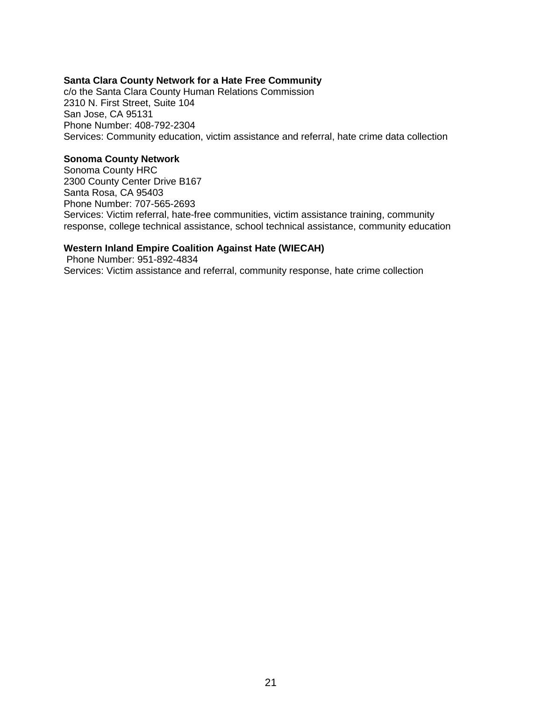#### **Santa Clara County Network for a Hate Free Community**

c/o the Santa Clara County Human Relations Commission 2310 N. First Street, Suite 104 San Jose, CA 95131 Phone Number: 408-792-2304 Services: Community education, victim assistance and referral, hate crime data collection

#### **Sonoma County Network**

Sonoma County HRC 2300 County Center Drive B167 Santa Rosa, CA 95403 Phone Number: 707-565-2693 Services: Victim referral, hate-free communities, victim assistance training, community response, college technical assistance, school technical assistance, community education

#### **Western Inland Empire Coalition Against Hate (WIECAH)**

Phone Number: 951-892-4834 Services: Victim assistance and referral, community response, hate crime collection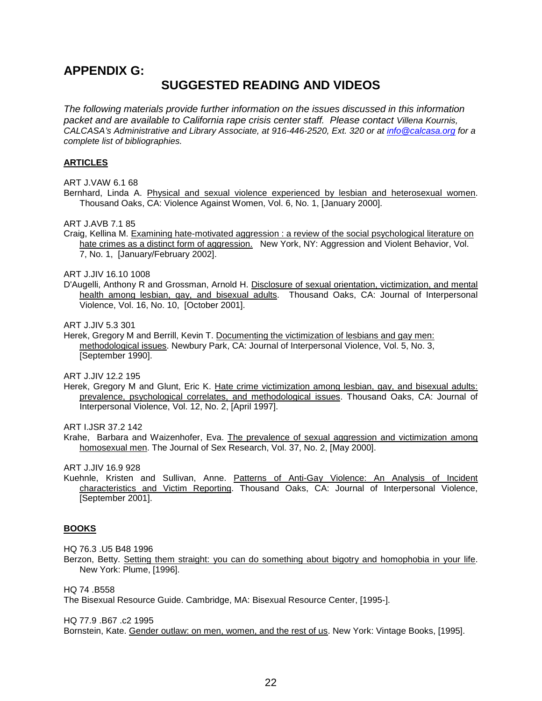#### **APPENDIX G:**

# **SUGGESTED READING AND VIDEOS**

*The following materials provide further information on the issues discussed in this information packet and are available to California rape crisis center staff. Please contact Villena Kournis, CALCASA's Administrative and Library Associate, at 916-446-2520, Ext. 320 or at [info@calcasa.org](mailto:info@calcasa.org) for a complete list of bibliographies.*

#### **ARTICLES**

ART J.VAW 6.1 68

Bernhard, Linda A. Physical and sexual violence experienced by lesbian and heterosexual women. Thousand Oaks, CA: Violence Against Women, Vol. 6, No. 1, [January 2000].

ART J.AVB 7.1 85

Craig, Kellina M. Examining hate-motivated aggression : a review of the social psychological literature on hate crimes as a distinct form of aggression. New York, NY: Aggression and Violent Behavior, Vol. 7, No. 1, [January/February 2002].

ART J.JIV 16.10 1008

D'Augelli, Anthony R and Grossman, Arnold H. Disclosure of sexual orientation, victimization, and mental health among lesbian, gay, and bisexual adults. Thousand Oaks, CA: Journal of Interpersonal Violence, Vol. 16, No. 10, [October 2001].

ART J.JIV 5.3 301

Herek, Gregory M and Berrill, Kevin T. Documenting the victimization of lesbians and gay men: methodological issues. Newbury Park, CA: Journal of Interpersonal Violence, Vol. 5, No. 3, [September 1990].

ART J.JIV 12.2 195

Herek, Gregory M and Glunt, Eric K. Hate crime victimization among lesbian, gay, and bisexual adults: prevalence, psychological correlates, and methodological issues. Thousand Oaks, CA: Journal of Interpersonal Violence, Vol. 12, No. 2, [April 1997].

ART I.JSR 37.2 142

Krahe, Barbara and Waizenhofer, Eva. The prevalence of sexual aggression and victimization among homosexual men. The Journal of Sex Research, Vol. 37, No. 2, [May 2000].

ART J.JIV 16.9 928

Kuehnle, Kristen and Sullivan, Anne. Patterns of Anti-Gay Violence: An Analysis of Incident characteristics and Victim Reporting. Thousand Oaks, CA: Journal of Interpersonal Violence, [September 2001].

#### **BOOKS**

HQ 76.3 .U5 B48 1996

Berzon, Betty. Setting them straight: you can do something about bigotry and homophobia in your life. New York: Plume, [1996].

HQ 74 .B558

The Bisexual Resource Guide. Cambridge, MA: Bisexual Resource Center, [1995-].

HQ 77.9 .B67 .c2 1995

Bornstein, Kate. Gender outlaw: on men, women, and the rest of us. New York: Vintage Books, [1995].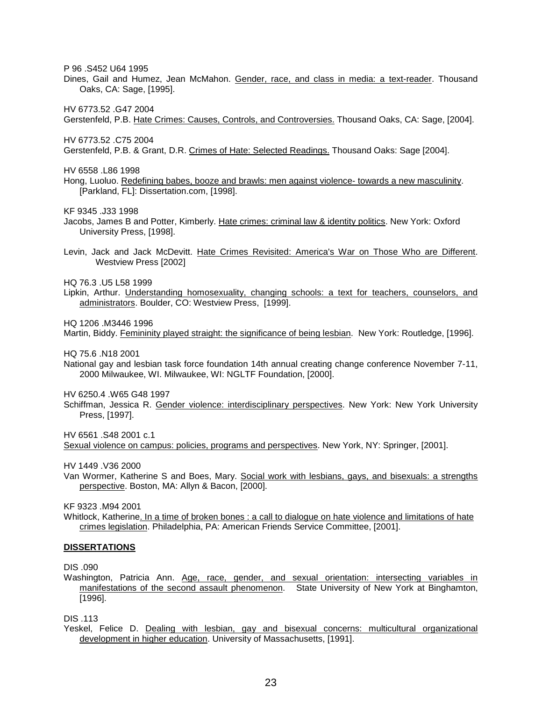P 96 .S452 U64 1995

Dines, Gail and Humez, Jean McMahon. Gender, race, and class in media: a text-reader. Thousand Oaks, CA: Sage, [1995].

HV 6773.52 .G47 2004

Gerstenfeld, P.B. Hate Crimes: Causes, Controls, and Controversies. Thousand Oaks, CA: Sage, [2004].

HV 6773.52 .C75 2004

Gerstenfeld, P.B. & Grant, D.R. Crimes of Hate: Selected Readings. Thousand Oaks: Sage [2004].

HV 6558 .L86 1998

Hong, Luoluo. Redefining babes, booze and brawls: men against violence- towards a new masculinity. [Parkland, FL]: Dissertation.com, [1998].

KF 9345 .J33 1998

- Jacobs, James B and Potter, Kimberly. Hate crimes: criminal law & identity politics. New York: Oxford University Press, [1998].
- Levin, Jack and Jack McDevitt. Hate Crimes Revisited: America's War on Those Who are Different. Westview Press [2002]

HQ 76.3 .U5 L58 1999

Lipkin, Arthur. Understanding homosexuality, changing schools: a text for teachers, counselors, and administrators. Boulder, CO: Westview Press, [1999].

HQ 1206 .M3446 1996

Martin, Biddy. Femininity played straight: the significance of being lesbian. New York: Routledge, [1996].

HQ 75.6 .N18 2001

National gay and lesbian task force foundation 14th annual creating change conference November 7-11, 2000 Milwaukee, WI. Milwaukee, WI: NGLTF Foundation, [2000].

HV 6250.4 .W65 G48 1997

Schiffman, Jessica R. Gender violence: interdisciplinary perspectives. New York: New York University Press, [1997].

HV 6561 S48 2001 c.1

Sexual violence on campus: policies, programs and perspectives. New York, NY: Springer, [2001].

HV 1449 .V36 2000

Van Wormer, Katherine S and Boes, Mary. Social work with lesbians, gays, and bisexuals: a strengths perspective. Boston, MA: Allyn & Bacon, [2000].

KF 9323 .M94 2001

Whitlock, Katherine. In a time of broken bones : a call to dialogue on hate violence and limitations of hate crimes legislation. Philadelphia, PA: American Friends Service Committee, [2001].

#### **DISSERTATIONS**

DIS .090

Washington, Patricia Ann. Age, race, gender, and sexual orientation: intersecting variables in manifestations of the second assault phenomenon. State University of New York at Binghamton, [1996].

DIS .113

Yeskel, Felice D. Dealing with lesbian, gay and bisexual concerns: multicultural organizational development in higher education. University of Massachusetts, [1991].